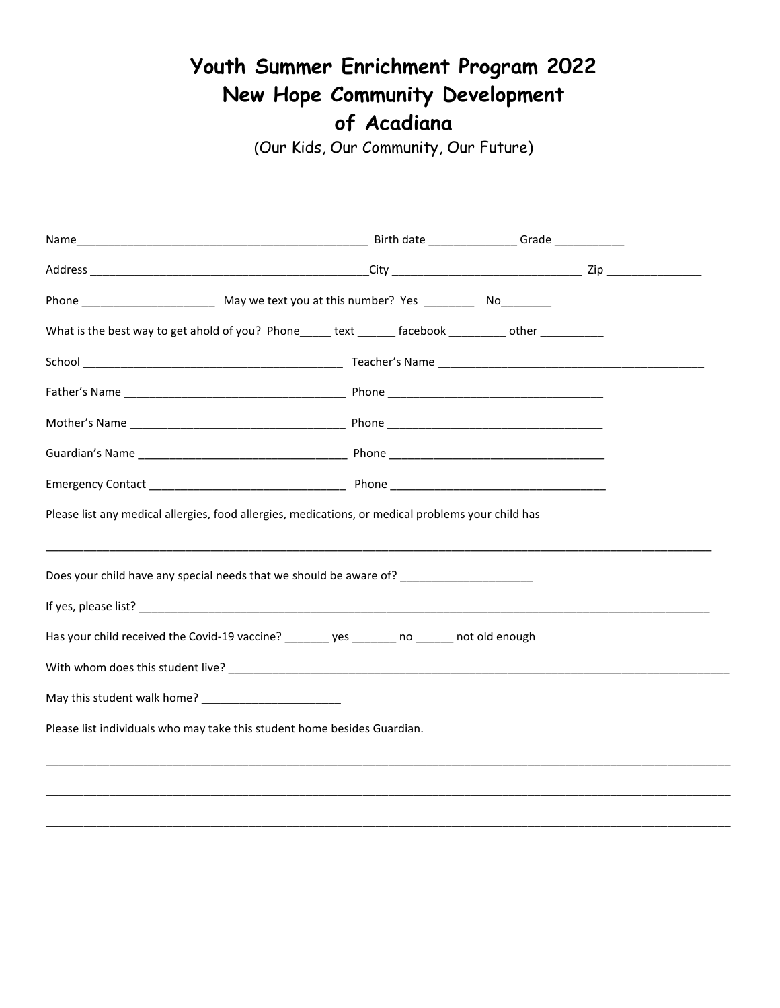## **Youth Summer Enrichment Program 2022 New Hope Community Development of Acadiana**

(Our Kids, Our Community, Our Future)

| What is the best way to get ahold of you? Phone text facebook herodother                           |  |  |
|----------------------------------------------------------------------------------------------------|--|--|
|                                                                                                    |  |  |
|                                                                                                    |  |  |
|                                                                                                    |  |  |
|                                                                                                    |  |  |
|                                                                                                    |  |  |
| Please list any medical allergies, food allergies, medications, or medical problems your child has |  |  |
| Does your child have any special needs that we should be aware of? ____________________            |  |  |
|                                                                                                    |  |  |
| Has your child received the Covid-19 vaccine? ________ yes _______ no ______ not old enough        |  |  |
|                                                                                                    |  |  |
|                                                                                                    |  |  |
| Please list individuals who may take this student home besides Guardian.                           |  |  |
|                                                                                                    |  |  |
|                                                                                                    |  |  |